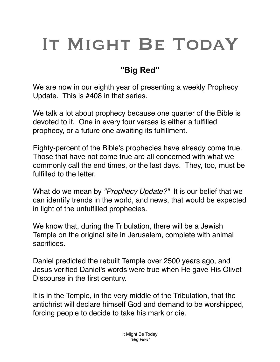## IT MIGHT BE TODAY

## **"Big Red"**

We are now in our eighth year of presenting a weekly Prophecy Update. This is #408 in that series.

We talk a lot about prophecy because one quarter of the Bible is devoted to it. One in every four verses is either a fulfilled prophecy, or a future one awaiting its fulfillment.

Eighty-percent of the Bible's prophecies have already come true. Those that have not come true are all concerned with what we commonly call the end times, or the last days. They, too, must be fulfilled to the letter.

What do we mean by *"Prophecy Update?"* It is our belief that we can identify trends in the world, and news, that would be expected in light of the unfulfilled prophecies.

We know that, during the Tribulation, there will be a Jewish Temple on the original site in Jerusalem, complete with animal sacrifices.

Daniel predicted the rebuilt Temple over 2500 years ago, and Jesus verified Daniel's words were true when He gave His Olivet Discourse in the first century.

It is in the Temple, in the very middle of the Tribulation, that the antichrist will declare himself God and demand to be worshipped, forcing people to decide to take his mark or die.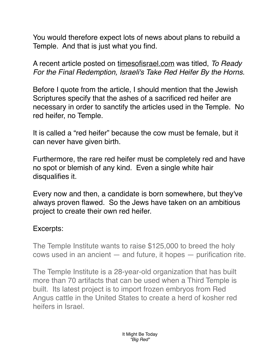You would therefore expect lots of news about plans to rebuild a Temple. And that is just what you find.

A recent article posted on [timesofisrael.com](http://timesofisrael.com) was titled, *To Ready For the Final Redemption, Israeli's Take Red Heifer By the Horns.*

Before I quote from the article, I should mention that the Jewish Scriptures specify that the ashes of a sacrificed red heifer are necessary in order to sanctify the articles used in the Temple. No red heifer, no Temple.

It is called a "red heifer" because the cow must be female, but it can never have given birth.

Furthermore, the rare red heifer must be completely red and have no spot or blemish of any kind. Even a single white hair disqualifies it.

Every now and then, a candidate is born somewhere, but they've always proven flawed. So the Jews have taken on an ambitious project to create their own red heifer.

## Excerpts:

The Temple Institute wants to raise \$125,000 to breed the holy cows used in an ancient — and future, it hopes — purification rite.

The Temple Institute is a 28-year-old organization that has built more than 70 artifacts that can be used when a Third Temple is built. Its latest project is to import frozen embryos from Red Angus cattle in the United States to create a herd of kosher red heifers in Israel.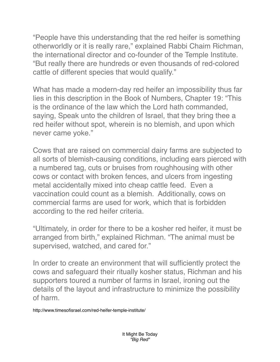"People have this understanding that the red heifer is something otherworldly or it is really rare," explained Rabbi Chaim Richman, the international director and co-founder of the Temple Institute. "But really there are hundreds or even thousands of red-colored cattle of different species that would qualify."

What has made a modern-day red heifer an impossibility thus far lies in this description in the Book of Numbers, Chapter 19: "This is the ordinance of the law which the Lord hath commanded, saying, Speak unto the children of Israel, that they bring thee a red heifer without spot, wherein is no blemish, and upon which never came yoke."

Cows that are raised on commercial dairy farms are subjected to all sorts of blemish-causing conditions, including ears pierced with a numbered tag, cuts or bruises from roughhousing with other cows or contact with broken fences, and ulcers from ingesting metal accidentally mixed into cheap cattle feed. Even a vaccination could count as a blemish. Additionally, cows on commercial farms are used for work, which that is forbidden according to the red heifer criteria.

"Ultimately, in order for there to be a kosher red heifer, it must be arranged from birth," explained Richman. "The animal must be supervised, watched, and cared for."

In order to create an environment that will sufficiently protect the cows and safeguard their ritually kosher status, Richman and his supporters toured a number of farms in Israel, ironing out the details of the layout and infrastructure to minimize the possibility of harm.

http://www.timesofisrael.com/red-heifer-temple-institute/